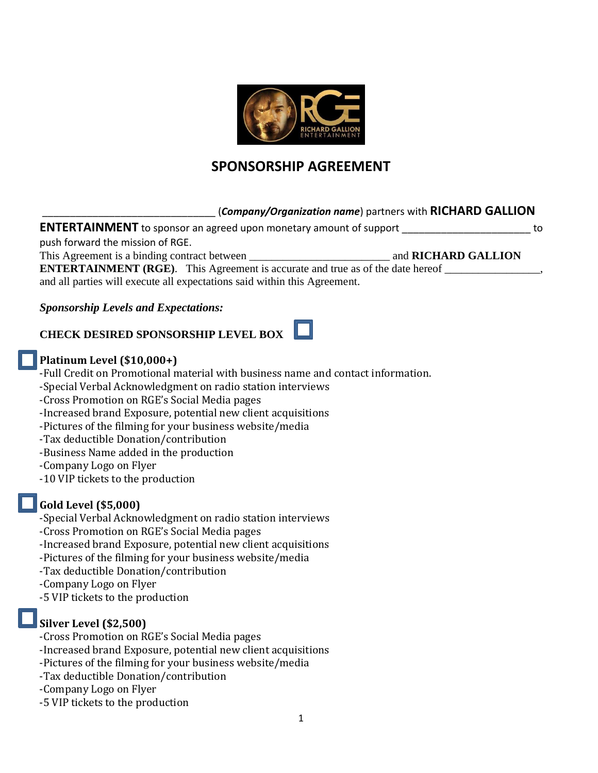

# **SPONSORSHIP AGREEMENT**

### \_\_\_\_\_\_\_\_\_\_\_\_\_\_\_\_\_\_\_\_\_\_\_\_\_\_\_\_\_\_\_ (*Company/Organization name*) partners with **RICHARD GALLION**

**ENTERTAINMENT** to sponsor an agreed upon monetary amount of support \_\_\_\_\_\_\_\_\_\_\_\_\_\_\_\_\_\_\_\_\_\_\_\_\_\_ to push forward the mission of RGE. This Agreement is a binding contract between **the analogue of the set of the set of the set of the set of the set of the set of the set of the set of the set of the set of the set of the set of the set of the set of the se** 

**ENTERTAINMENT (RGE)**. This Agreement is accurate and true as of the date hereof \_\_\_\_\_\_\_\_\_\_\_\_\_\_\_\_\_, and all parties will execute all expectations said within this Agreement.

### *Sponsorship Levels and Expectations:*

# **CHECK DESIRED SPONSORSHIP LEVEL BOX**

### **Platinum Level (\$10,000+)**

-Full Credit on Promotional material with business name and contact information.

-Special Verbal Acknowledgment on radio station interviews

-Cross Promotion on RGE's Social Media pages

-Increased brand Exposure, potential new client acquisitions

-Pictures of the filming for your business website/media

-Tax deductible Donation/contribution

-Business Name added in the production

-Company Logo on Flyer

-10 VIP tickets to the production

## **Gold Level (\$5,000)**

-Special Verbal Acknowledgment on radio station interviews

-Cross Promotion on RGE's Social Media pages

-Increased brand Exposure, potential new client acquisitions

-Pictures of the filming for your business website/media

-Tax deductible Donation/contribution

-Company Logo on Flyer

-5 VIP tickets to the production

## **Silver Level (\$2,500)**

-Cross Promotion on RGE's Social Media pages

-Increased brand Exposure, potential new client acquisitions

-Pictures of the filming for your business website/media

- -Tax deductible Donation/contribution
- -Company Logo on Flyer
- -5 VIP tickets to the production